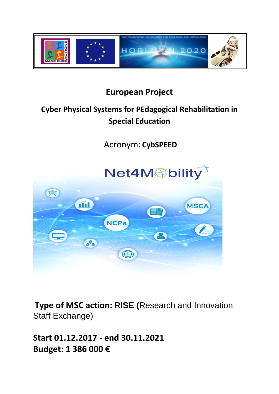

## **European Project**

# **Cyber Physical Systems for PEdagogical Rehabilitation in Special Education**

Acronym: **CybSPEED**



**Type of MSC action: RISE (**Research and Innovation Staff Exchange)

**Start 01.12.2017 - end 30.11.2021 Budget: 1 386 000 €**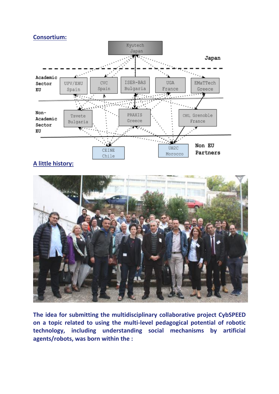#### **Consortium:**



### **A little history:**



**The idea for submitting the multidisciplinary collaborative project CybSPEED on a topic related to using the multi-level pedagogical potential of robotic technology, including understanding social mechanisms by artificial agents/robots, was born within the :**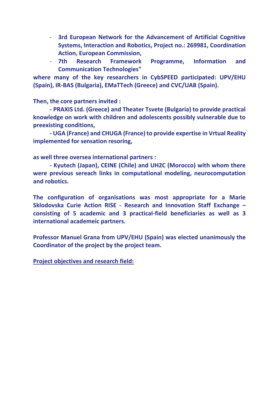- **3rd European Network for the Advancement of Artificial Cognitive Systems, Interaction and Robotics, Project no.: 269981, Coordination Action, European Commission,**
- **7th Research Framework Programme, Information and Communication Technologies"**

**where many of the key researchers in CybSPEED participated: UPV/EHU (Spain), IR-BAS (Bulgaria), EMaTTech (Greece) and CVC/UAB (Spain).** 

**Then, the core partners invited :**

**- PRAXIS Ltd. (Greece) and Theater Tsvete (Bulgaria) to provide practical knowledge on work with children and adolescents possibly vulnerable due to preexisting conditions,** 

**- UGA (France) and CHUGA (France) to provide expertise in Vrtual Reality implemented for sensation resoring,** 

**as well three oversea international partners :**

**- Kyutech (Japan), CEINE (Chile) and UH2C (Morocco) with whom there were previous sereach links in computational modeling, neurocomputation and robotics.** 

**The configuration of organisations was most appropriate for a Marie Sklodovska Curie Action RISE - Research and Innovation Staff Exchange – consisting of 5 academic and 3 practical-field beneficiaries as well as 3 international academeic partners.** 

**Professor Manuel Grana from UPV/EHU (Spain) was elected unanimously the Coordinator of the project by the project team.**

**Project objectives and research field:**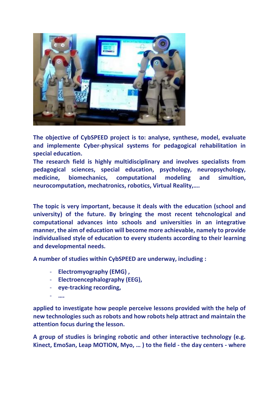

**The objective of CybSPEED project is to: analyse, synthese, model, evaluate and implemente Cyber-physical systems for pedagogical rehabilitation in special education.** 

**The research field is highly multidisciplinary and involves specialists from pedagogical sciences, special education, psychology, neuropsychology, medicine, biomechanics, computational modeling and simultion, neurocomputation, mechatronics, robotics, Virtual Reality,….**

**The topic is very important, because it deals with the education (school and university) of the future. By bringing the most recent tehcnological and computational advances into schools and universities in an integrative manner, the aim of education will become more achievable, namely to provide individualised style of education to every students according to their learning and developmental needs.**

**A number of studies within CybSPEED are underway, including :**

- **Electromyography (EMG) ,**
- **Electroencephalography (EEG),**
- **eye-tracking recording,**
- **….**

**applied to investigate how people perceive lessons provided with the help of new technologies such as robots and how robots help attract and maintain the attention focus during the lesson.** 

**A group of studies is bringing robotic and other interactive technology (e.g. Kinect, EmoSan, Leap MOTION, Myo, … ) to the field - the day centers - where**